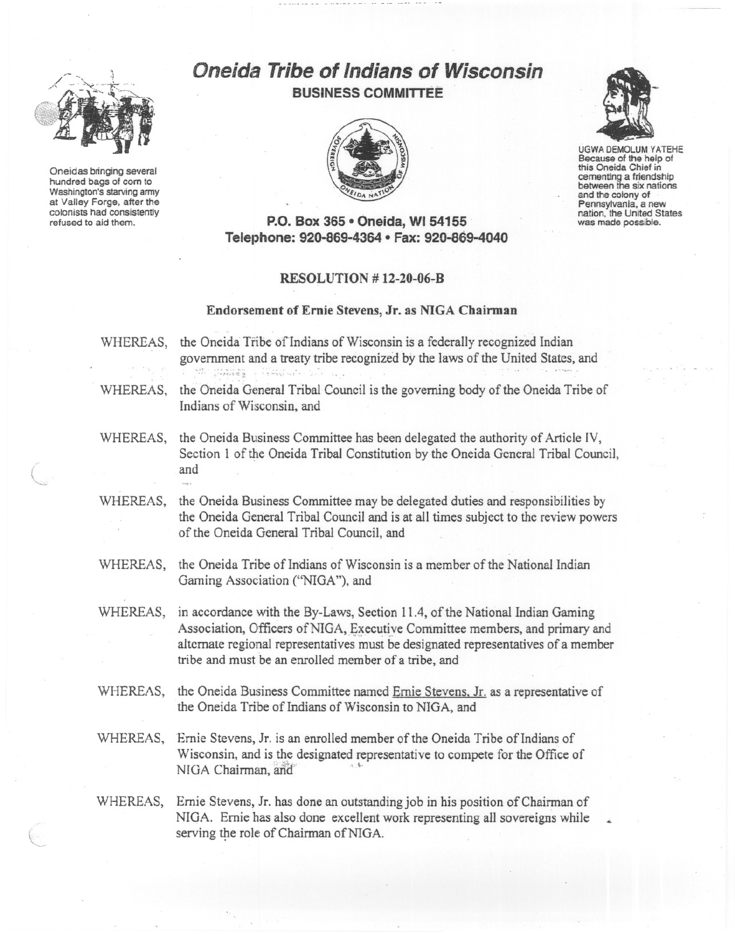

Oneidas bringing several hundred bags of com to Washington's starving army at Valley Forge, after the colonists had consistently refused to aid them.

"'-c:.

## Oneid4~**Tribe of Indians of Wisconsin BUSINESS COMMITTEE**





UGWA DEMOLUM YATEHE Because of the help of this Oneida Chief in cementing a friendship between the six nations and the colony of Pennsylvania, a new nation. the United States was made possible.

**P.O. Box 365· Oneida,** WI 54155 . **Telephone: 920-869-4364 • Fax: 920-869-4040**

## **RESOLUTION # 12-20-06-B**

## **Endorsement of Ernie Stevens, Jr. as NIGA Chairman**

- WHEREAS, the Oneida Tribe of Indians of Wisconsin is a federally recognized Indian government and <sup>a</sup> treaty tribe recognized by the laws of the United States, and .,t ... ; ..... ,." ... ,-'. ~.. ,~\:; ", ~-\.\, .
- WHEREAS, the Oneida General Tribal Council is the governing body of the Oneida Tribe of Indians of Wisconsin, and
- WHEREAS, the Oneida Business Committee has been delegated the authority of Article IV, Section 1 of the Oneida Tribal Constitution by the Oneida General Tribal Council, and  $\overline{a}$  and  $\overline{a}$ 
	- WHEREAS, the Oneida Business Committee may be delegated duties and responsibilities by the Oneida General Tribal Council and is at all times subject to the review powers of the Oneida General Tribal Council, and
	- WHEREAS, the Oneida Tribe of Indians of Wisconsin is a member of the National Indian Gaming Association ("NIGA"), and
	- WHEREAS, in accordance with the By-Laws, Section 11.4, of the National Indian Gaming Association, Officers of NIGA, Executive Committee members, and primary and alternate regional representatives must be designated representatives of a member tribe and must be an enrolled member of a tribe, and
	- WHEREAS, the Oneida Business Committee named Ernie Stevens. Jr. as a representative of the Oneida Tribe of Indians of Wisconsin to NIGA, and
	- WHEREAS, Ernie Stevens, Jr. is an enrolled member of the Oneida Tribe of Indians of Wisconsin, and is the designated representative to compete for the Office of NIGA Chairman, and
	- WHEREAS, Ernie Stevens, Jr. has done an outstanding job in his position of Chairman of NIGA. Ernie has also done excellent work representing all sovereigns while serving the role of Chairman of NIGA.